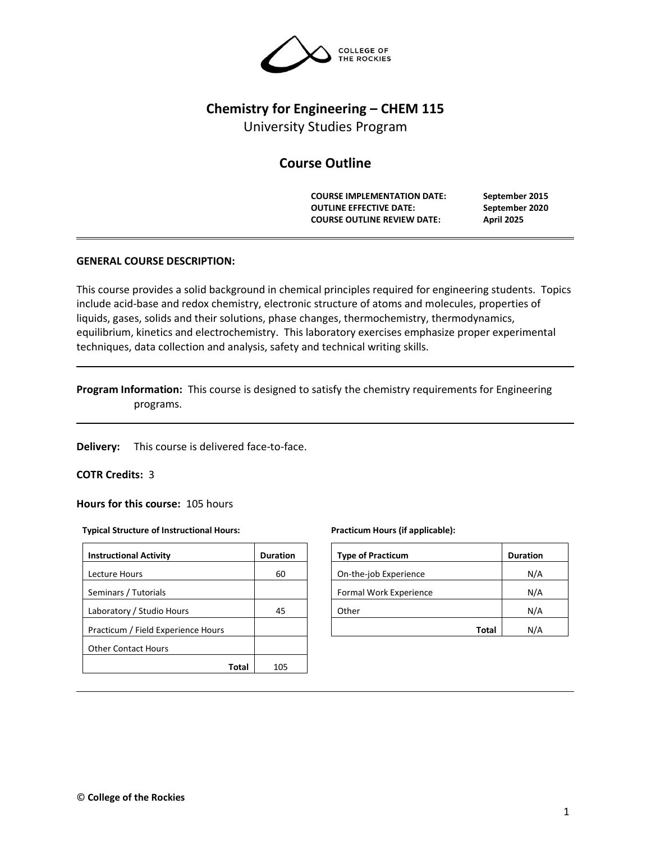

# **Chemistry for Engineering – CHEM 115**

University Studies Program

# **Course Outline**

**COURSE IMPLEMENTATION DATE: September 2015 OUTLINE EFFECTIVE DATE: September 2020 COURSE OUTLINE REVIEW DATE: April 2025**

## **GENERAL COURSE DESCRIPTION:**

This course provides a solid background in chemical principles required for engineering students. Topics include acid-base and redox chemistry, electronic structure of atoms and molecules, properties of liquids, gases, solids and their solutions, phase changes, thermochemistry, thermodynamics, equilibrium, kinetics and electrochemistry. This laboratory exercises emphasize proper experimental techniques, data collection and analysis, safety and technical writing skills.

## **Program Information:** This course is designed to satisfy the chemistry requirements for Engineering programs.

**Delivery:** This course is delivered face-to-face.

#### **COTR Credits:** 3

**Hours for this course:** 105 hours

#### **Typical Structure of Instructional Hours:**

| <b>Instructional Activity</b>      | <b>Duration</b> |
|------------------------------------|-----------------|
| Lecture Hours                      | 60              |
| Seminars / Tutorials               |                 |
| Laboratory / Studio Hours          | 45              |
| Practicum / Field Experience Hours |                 |
| <b>Other Contact Hours</b>         |                 |
| Total                              | 105             |

#### **Practicum Hours (if applicable):**

| <b>Type of Practicum</b> | <b>Duration</b> |
|--------------------------|-----------------|
| On-the-job Experience    | N/A             |
| Formal Work Experience   | N/A             |
| Other                    | N/A             |
| Total                    |                 |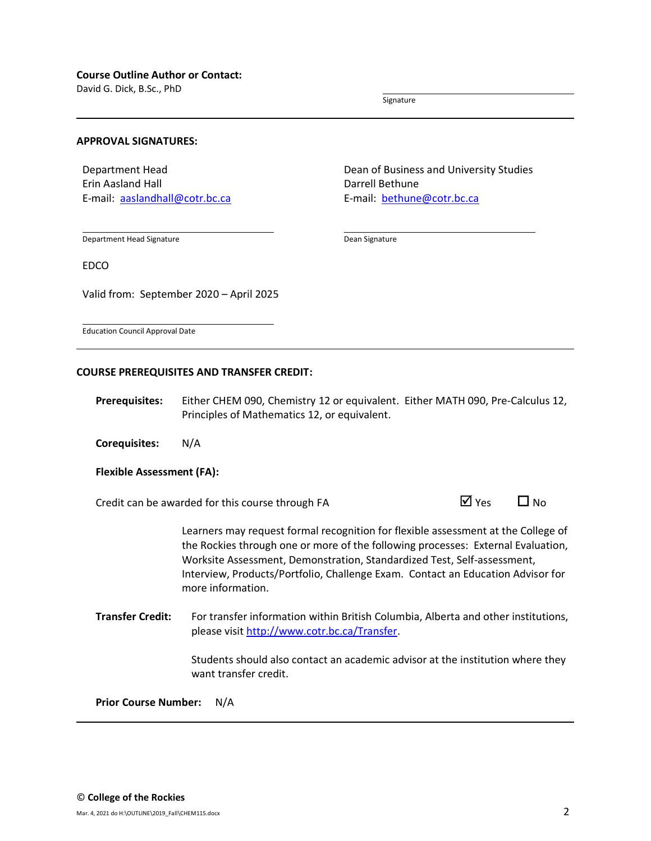David G. Dick, B.Sc., PhD

Signature

#### **APPROVAL SIGNATURES:**

Department Head Erin Aasland Hall E-mail: [aaslandhall@cotr.bc.ca](mailto:walkley@cotr.bc.ca) Dean of Business and University Studies Darrell Bethune E-mail: [bethune@cotr.bc.ca](mailto:bethune@cotr.bc.ca)

Department Head Signature

Dean Signature

Valid from: September 2020 – April 2025

EDCO

Education Council Approval Date

#### **COURSE PREREQUISITES AND TRANSFER CREDIT:**

**Prerequisites:** Either CHEM 090, Chemistry 12 or equivalent. Either MATH 090, Pre-Calculus 12, Principles of Mathematics 12, or equivalent.

**Corequisites:** N/A

#### **Flexible Assessment (FA):**

Credit can be awarded for this course through FA  $\Box$  Yes  $\Box$  No

Learners may request formal recognition for flexible assessment at the College of the Rockies through one or more of the following processes: External Evaluation, Worksite Assessment, Demonstration, Standardized Test, Self-assessment, Interview, Products/Portfolio, Challenge Exam. Contact an Education Advisor for more information.

**Transfer Credit:** For transfer information within British Columbia, Alberta and other institutions, please visit [http://www.cotr.bc.ca/Transfer.](http://www.cotr.bc.ca/Transfer)

> Students should also contact an academic advisor at the institution where they want transfer credit.

**Prior Course Number:** N/A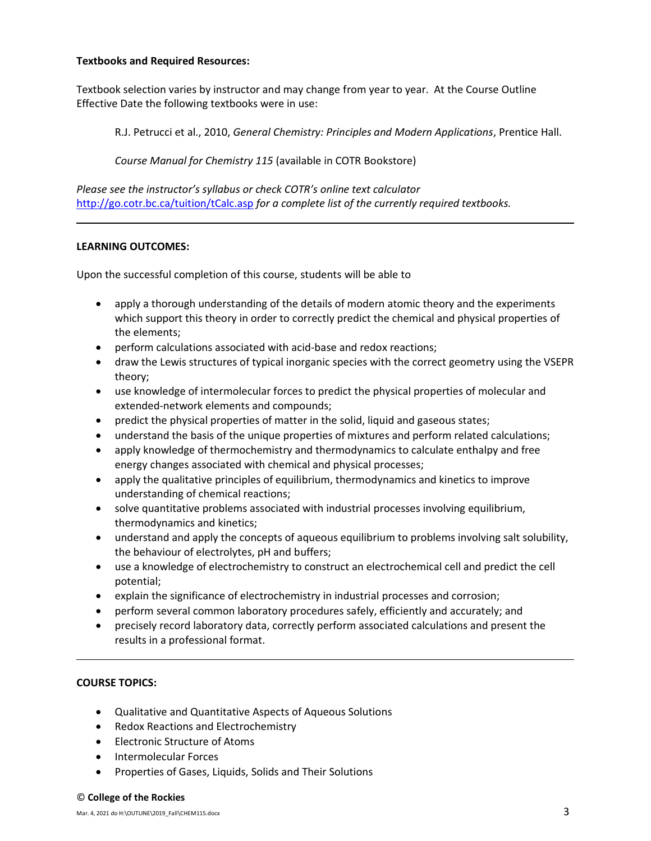## **Textbooks and Required Resources:**

Textbook selection varies by instructor and may change from year to year. At the Course Outline Effective Date the following textbooks were in use:

R.J. Petrucci et al., 2010, *General Chemistry: Principles and Modern Applications*, Prentice Hall.

*Course Manual for Chemistry 115* (available in COTR Bookstore)

*Please see the instructor's syllabus or check COTR's online text calculator*  <http://go.cotr.bc.ca/tuition/tCalc.asp> *for a complete list of the currently required textbooks.*

## **LEARNING OUTCOMES:**

Upon the successful completion of this course, students will be able to

- apply a thorough understanding of the details of modern atomic theory and the experiments which support this theory in order to correctly predict the chemical and physical properties of the elements;
- perform calculations associated with acid-base and redox reactions;
- draw the Lewis structures of typical inorganic species with the correct geometry using the VSEPR theory;
- use knowledge of intermolecular forces to predict the physical properties of molecular and extended-network elements and compounds;
- predict the physical properties of matter in the solid, liquid and gaseous states;
- understand the basis of the unique properties of mixtures and perform related calculations;
- apply knowledge of thermochemistry and thermodynamics to calculate enthalpy and free energy changes associated with chemical and physical processes;
- apply the qualitative principles of equilibrium, thermodynamics and kinetics to improve understanding of chemical reactions;
- solve quantitative problems associated with industrial processes involving equilibrium, thermodynamics and kinetics;
- understand and apply the concepts of aqueous equilibrium to problems involving salt solubility, the behaviour of electrolytes, pH and buffers;
- use a knowledge of electrochemistry to construct an electrochemical cell and predict the cell potential;
- explain the significance of electrochemistry in industrial processes and corrosion;
- perform several common laboratory procedures safely, efficiently and accurately; and
- precisely record laboratory data, correctly perform associated calculations and present the results in a professional format.

## **COURSE TOPICS:**

- Qualitative and Quantitative Aspects of Aqueous Solutions
- Redox Reactions and Electrochemistry
- Electronic Structure of Atoms
- Intermolecular Forces
- Properties of Gases, Liquids, Solids and Their Solutions

#### © **College of the Rockies**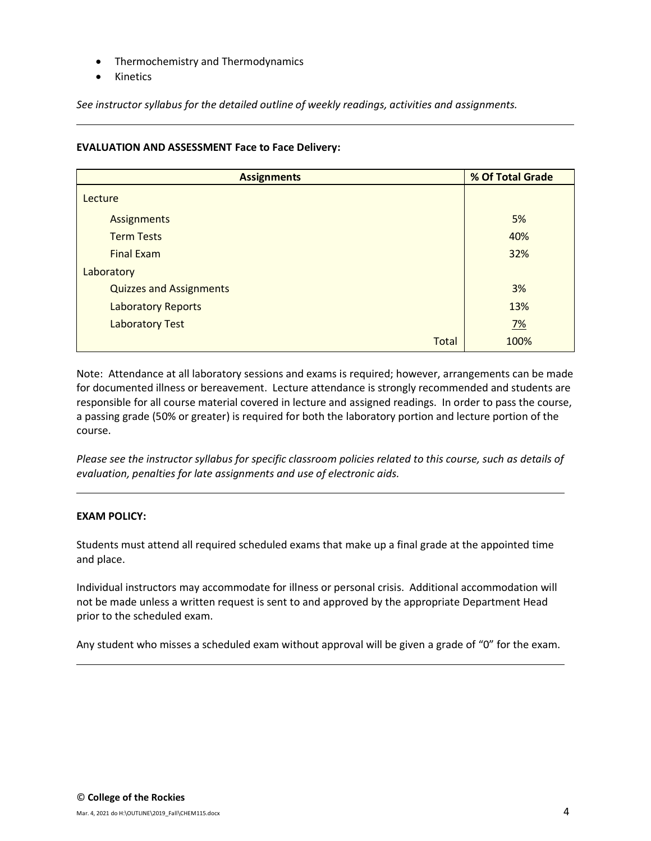- Thermochemistry and Thermodynamics
- Kinetics

*See instructor syllabus for the detailed outline of weekly readings, activities and assignments.*

## **EVALUATION AND ASSESSMENT Face to Face Delivery:**

| <b>Assignments</b>             | % Of Total Grade |  |  |
|--------------------------------|------------------|--|--|
| Lecture                        |                  |  |  |
| <b>Assignments</b>             | 5%               |  |  |
| <b>Term Tests</b>              | 40%              |  |  |
| <b>Final Exam</b>              | 32%              |  |  |
| Laboratory                     |                  |  |  |
| <b>Quizzes and Assignments</b> | 3%               |  |  |
| <b>Laboratory Reports</b>      | 13%              |  |  |
| <b>Laboratory Test</b>         | <u>7%</u>        |  |  |
| <b>Total</b>                   | 100%             |  |  |

Note: Attendance at all laboratory sessions and exams is required; however, arrangements can be made for documented illness or bereavement. Lecture attendance is strongly recommended and students are responsible for all course material covered in lecture and assigned readings. In order to pass the course, a passing grade (50% or greater) is required for both the laboratory portion and lecture portion of the course.

*Please see the instructor syllabus for specific classroom policies related to this course, such as details of evaluation, penalties for late assignments and use of electronic aids.*

## **EXAM POLICY:**

Students must attend all required scheduled exams that make up a final grade at the appointed time and place.

Individual instructors may accommodate for illness or personal crisis. Additional accommodation will not be made unless a written request is sent to and approved by the appropriate Department Head prior to the scheduled exam.

Any student who misses a scheduled exam without approval will be given a grade of "0" for the exam.